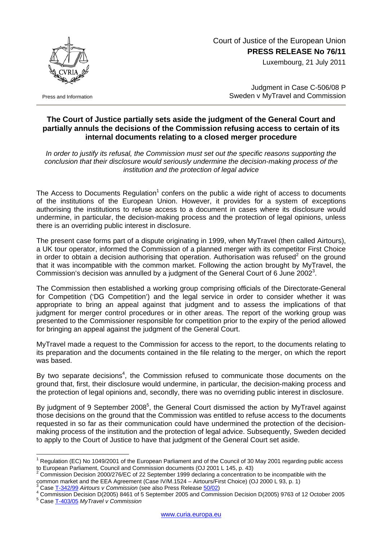Court of Justice of the European Union **PRESS RELEASE No 76/11**

Luxembourg, 21 July 2011



Press and Information

 $\overline{a}$ 

Judgment in Case C-506/08 P Sweden v MyTravel and Commission

## **The Court of Justice partially sets aside the judgment of the General Court and partially annuls the decisions of the Commission refusing access to certain of its internal documents relating to a closed merger procedure**

*In order to justify its refusal, the Commission must set out the specific reasons supporting the conclusion that their disclosure would seriously undermine the decision-making process of the institution and the protection of legal advice* 

The Access to Documents Regulation<sup>[1](#page-0-0)</sup> confers on the public a wide right of access to documents of the institutions of the European Union. However, it provides for a system of exceptions authorising the institutions to refuse access to a document in cases where its disclosure would undermine, in particular, the decision-making process and the protection of legal opinions, unless there is an overriding public interest in disclosure.

The present case forms part of a dispute originating in 1999, when MyTravel (then called Airtours), a UK tour operator, informed the Commission of a planned merger with its competitor First Choice in order to obtain a decision authorising that operation. Authorisation was refused<sup>[2](#page-0-1)</sup> on the ground that it was incompatible with the common market. Following the action brought by MyTravel, the Commission's decision was annulled by a judgment of the General Court of 6 June 2002<sup>[3](#page-0-2)</sup>.

The Commission then established a working group comprising officials of the Directorate-General for Competition ('DG Competition') and the legal service in order to consider whether it was appropriate to bring an appeal against that judgment and to assess the implications of that judgment for merger control procedures or in other areas. The report of the working group was presented to the Commissioner responsible for competition prior to the expiry of the period allowed for bringing an appeal against the judgment of the General Court.

MyTravel made a request to the Commission for access to the report, to the documents relating to its preparation and the documents contained in the file relating to the merger, on which the report was based.

By two separate decisions<sup>[4](#page-0-3)</sup>, the Commission refused to communicate those documents on the ground that, first, their disclosure would undermine, in particular, the decision-making process and the protection of legal opinions and, secondly, there was no overriding public interest in disclosure.

By judgment of 9 September 2008<sup>5</sup>[,](#page-0-4) the General Court dismissed the action by MyTravel against those decisions on the ground that the Commission was entitled to refuse access to the documents requested in so far as their communication could have undermined the protection of the decisionmaking process of the institution and the protection of legal advice. Subsequently, Sweden decided to apply to the Court of Justice to have that judgment of the General Court set aside.

<span id="page-0-0"></span><sup>&</sup>lt;sup>1</sup> Regulation (EC) No 1049/2001 of the European Parliament and of the Council of 30 May 2001 regarding public access to European Parliament, Council and Commission documents (OJ 2001 L 145, p. 43)

<span id="page-0-1"></span>Commission Decision 2000/276/EC of 22 September 1999 declaring a concentration to be incompatible with the common market and the EEA Agreement (Case IV/M.1524 – Airtours/First Choice) (OJ 2000 L 93, p. 1)

<span id="page-0-2"></span>Case T-342/99 *Airtours v Commission* (see also Press Release [50/02\)](http://curia.europa.eu/en/actu/communiques/cp02/aff/cp0250en.htm) 4

<span id="page-0-4"></span><span id="page-0-3"></span><sup>&</sup>lt;sup>4</sup> Commission Decision D(2005) 8461 of 5 September 2005 and Commission Decision D(2005) 9763 of 12 October 2005 Case [T-403/05](http://curia.europa.eu/jurisp/cgi-bin/form.pl?lang=EN&Submit=rechercher&numaff=T-403/05) *MyTravel v Commission*